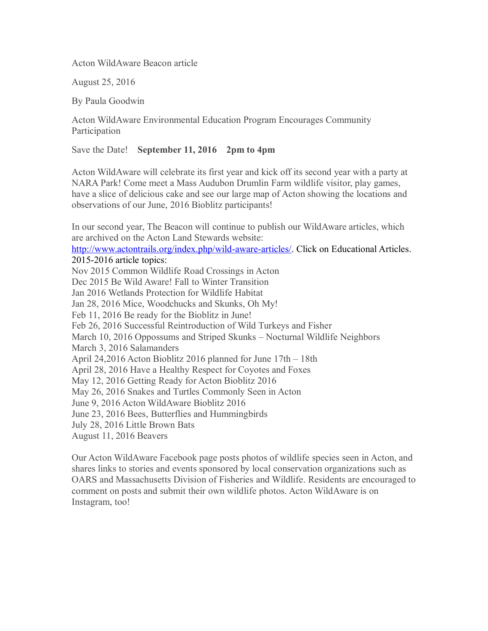Acton WildAware Beacon article

August 25, 2016

By Paula Goodwin

Acton WildAware Environmental Education Program Encourages Community Participation

Save the Date! **September 11, 2016 2pm to 4pm**

Acton WildAware will celebrate its first year and kick off its second year with a party at NARA Park! Come meet a Mass Audubon Drumlin Farm wildlife visitor, play games, have a slice of delicious cake and see our large map of Acton showing the locations and observations of our June, 2016 Bioblitz participants!

In our second year, The Beacon will continue to publish our WildAware articles, which are archived on the Acton Land Stewards website:

<http://www.actontrails.org/index.php/wild-aware-articles/>. Click on Educational Articles. 2015-2016 article topics:

Nov 2015 Common Wildlife Road Crossings in Acton Dec 2015 Be Wild Aware! Fall to Winter Transition Jan 2016 Wetlands Protection for Wildlife Habitat Jan 28, 2016 Mice, Woodchucks and Skunks, Oh My! Feb 11, 2016 Be ready for the Bioblitz in June! Feb 26, 2016 Successful Reintroduction of Wild Turkeys and Fisher March 10, 2016 Oppossums and Striped Skunks – Nocturnal Wildlife Neighbors March 3, 2016 Salamanders April 24,2016 Acton Bioblitz 2016 planned for June 17th – 18th April 28, 2016 Have a Healthy Respect for Coyotes and Foxes May 12, 2016 Getting Ready for Acton Bioblitz 2016 May 26, 2016 Snakes and Turtles Commonly Seen in Acton June 9, 2016 Acton WildAware Bioblitz 2016 June 23, 2016 Bees, Butterflies and Hummingbirds July 28, 2016 Little Brown Bats August 11, 2016 Beavers

Our Acton WildAware Facebook page posts photos of wildlife species seen in Acton, and shares links to stories and events sponsored by local conservation organizations such as OARS and Massachusetts Division of Fisheries and Wildlife. Residents are encouraged to comment on posts and submit their own wildlife photos. Acton WildAware is on Instagram, too!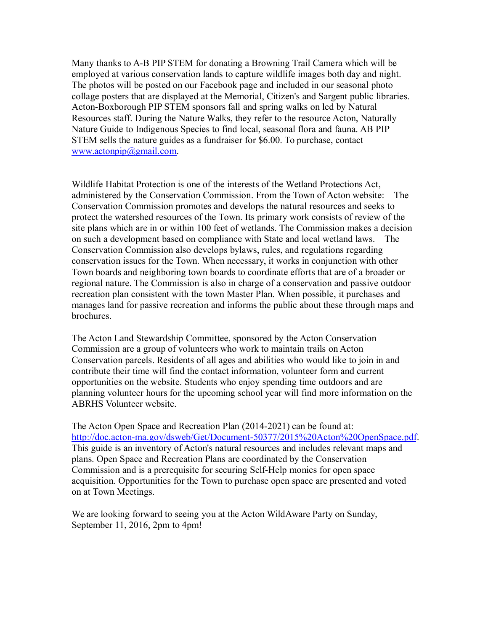Many thanks to A-B PIP STEM for donating a Browning Trail Camera which will be employed at various conservation lands to capture wildlife images both day and night. The photos will be posted on our Facebook page and included in our seasonal photo collage posters that are displayed at the Memorial, Citizen's and Sargent public libraries. Acton-Boxborough PIP STEM sponsors fall and spring walks on led by Natural Resources staff. During the Nature Walks, they refer to the resource Acton, Naturally Nature Guide to Indigenous Species to find local, seasonal flora and fauna. AB PIP STEM sells the nature guides as a fundraiser for \$6.00. To purchase, contact [www.actonpip@gmail.com.](www.actonpip@gmail.com)

Wildlife Habitat Protection is one of the interests of the Wetland Protections Act, administered by the Conservation Commission. From the Town of Acton website: The Conservation Commission promotes and develops the natural resources and seeks to protect the watershed resources of the Town. Its primary work consists of review of the site plans which are in or within 100 feet of wetlands. The Commission makes a decision on such a development based on compliance with State and local wetland laws. The Conservation Commission also develops bylaws, rules, and regulations regarding conservation issues for the Town. When necessary, it works in conjunction with other Town boards and neighboring town boards to coordinate efforts that are of a broader or regional nature. The Commission is also in charge of a conservation and passive outdoor recreation plan consistent with the town Master Plan. When possible, it purchases and manages land for passive recreation and informs the public about these through maps and brochures.

The Acton Land Stewardship Committee, sponsored by the Acton Conservation Commission are a group of volunteers who work to maintain trails on Acton Conservation parcels. Residents of all ages and abilities who would like to join in and contribute their time will find the contactinformation, volunteer form and current opportunities on the website. Students who enjoy spending time outdoors and are planning volunteer hours for the upcoming school year will find more information on the ABRHS Volunteer website.

The Acton Open Space and Recreation Plan (2014-2021) can be found at: <http://doc.acton-ma.gov/dsweb/Get/Document-50377/2015%20Acton%20OpenSpace.pdf>. This guide is an inventory of Acton's natural resources and includes relevant maps and plans. Open Space and Recreation Plans are coordinated by the Conservation Commission and is a prerequisite for securing Self-Help monies for open space acquisition. Opportunities for the Town to purchase open space are presented and voted on at Town Meetings.

We are looking forward to seeing you at the Acton WildAware Party on Sunday, September 11, 2016, 2pm to 4pm!